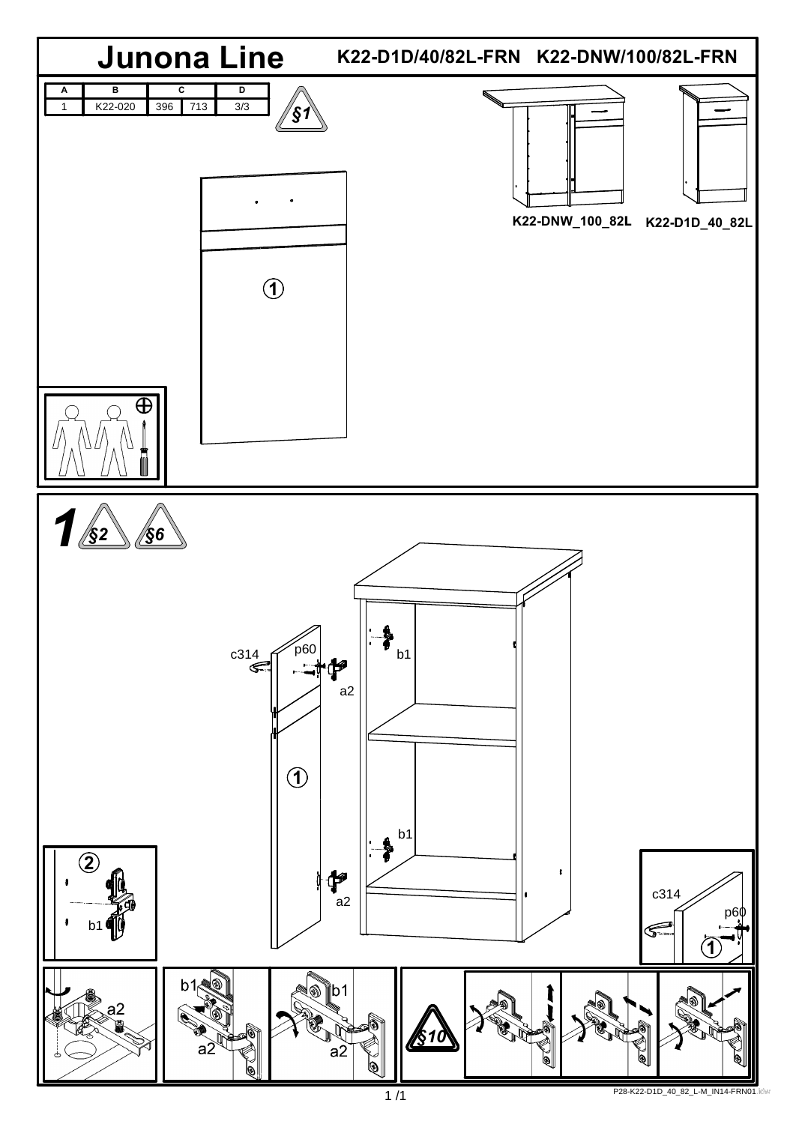

**1 /1 1 P28-K22-D1D\_40\_82\_L-M\_IN14-FRN01.idw**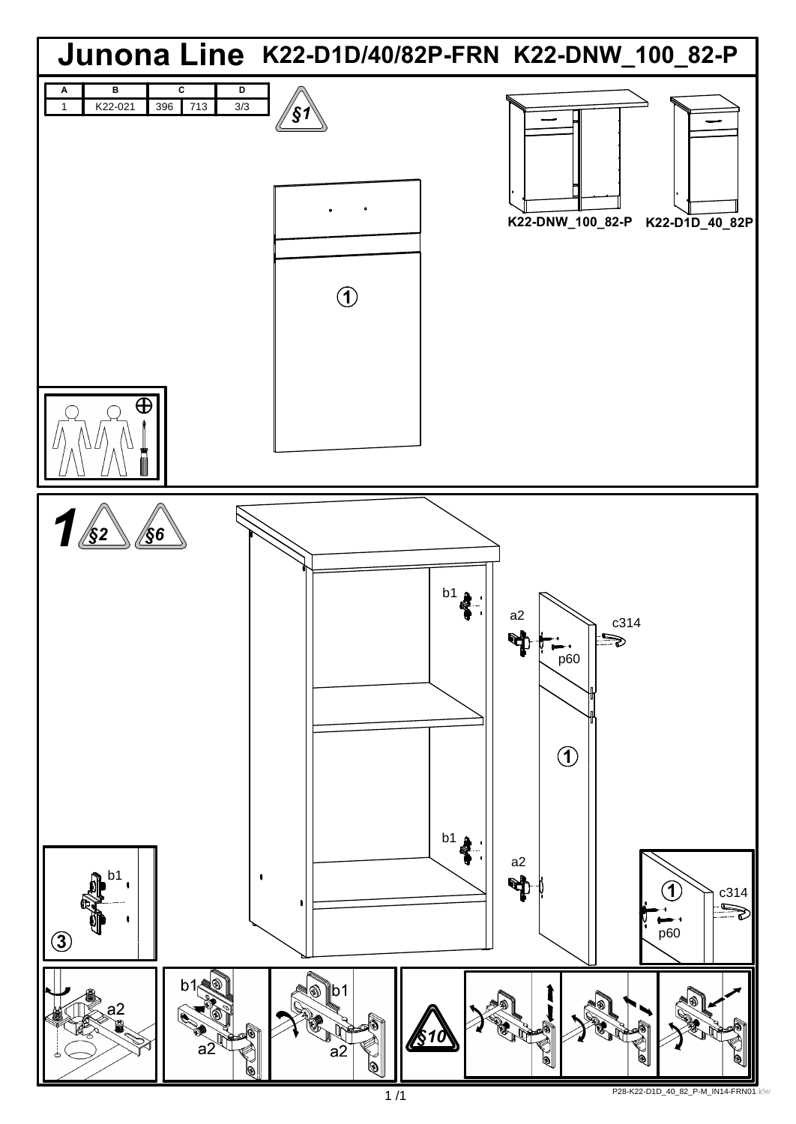

## P28-K22-D1D\_40\_82\_P-M\_IN14-FRN01.idw 1 /1 .idw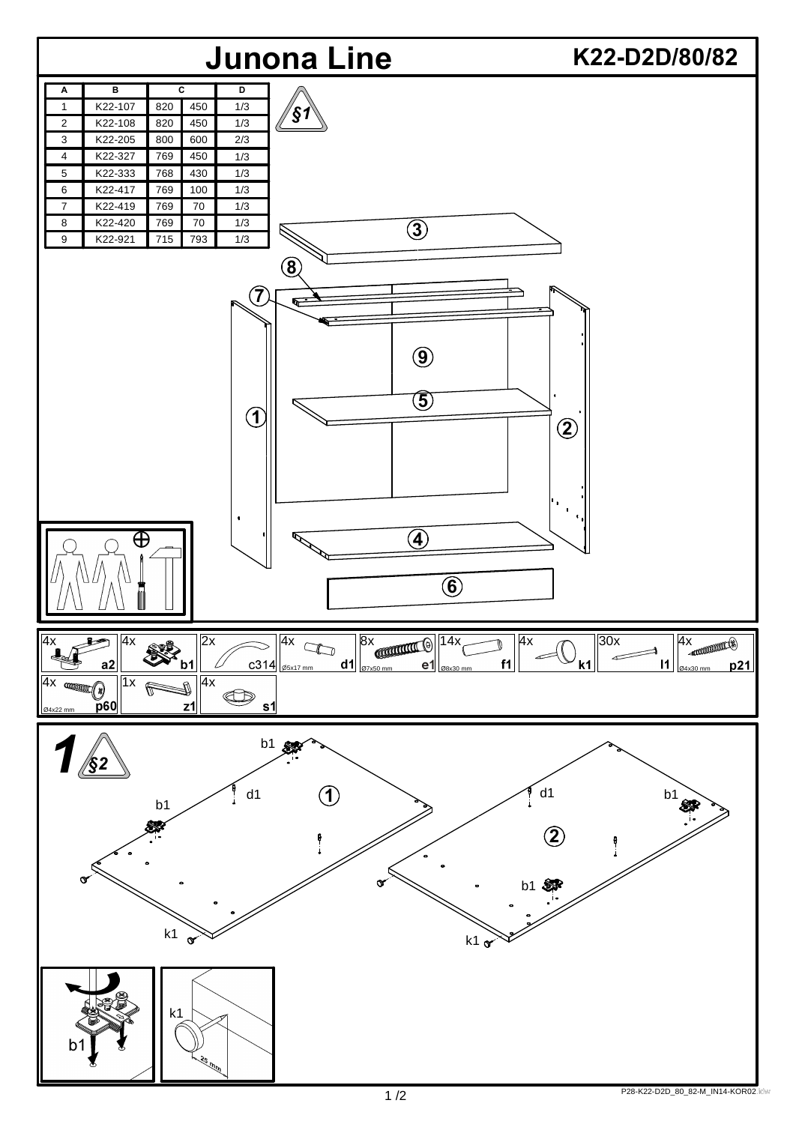